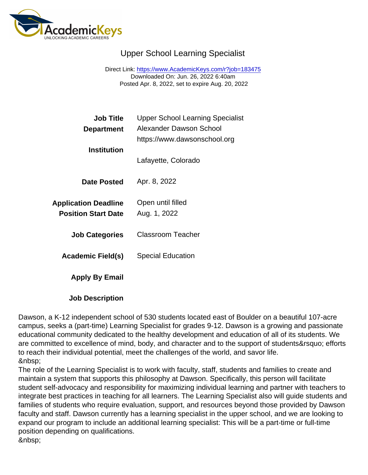## Upper School Learning Specialist

Direct Link: <https://www.AcademicKeys.com/r?job=183475> Downloaded On: Jun. 26, 2022 6:40am Posted Apr. 8, 2022, set to expire Aug. 20, 2022

| <b>Job Title</b><br>Department                     | <b>Upper School Learning Specialist</b><br>Alexander Dawson School |
|----------------------------------------------------|--------------------------------------------------------------------|
|                                                    | https://www.dawsonschool.org                                       |
| Institution                                        | Lafayette, Colorado                                                |
| Date Posted                                        | Apr. 8, 2022                                                       |
| Application Deadline<br><b>Position Start Date</b> | Open until filled<br>Aug. 1, 2022                                  |
| <b>Job Categories</b>                              | <b>Classroom Teacher</b>                                           |
| Academic Field(s)                                  | <b>Special Education</b>                                           |
| Apply By Email                                     |                                                                    |
| <b>Job Description</b>                             |                                                                    |

Dawson, a K-12 independent school of 530 students located east of Boulder on a beautiful 107-acre campus, seeks a (part-time) Learning Specialist for grades 9-12. Dawson is a growing and passionate educational community dedicated to the healthy development and education of all of its students. We are committed to excellence of mind, body, and character and to the support of students' efforts to reach their individual potential, meet the challenges of the world, and savor life. 

The role of the Learning Specialist is to work with faculty, staff, students and families to create and maintain a system that supports this philosophy at Dawson. Specifically, this person will facilitate student self-advocacy and responsibility for maximizing individual learning and partner with teachers to integrate best practices in teaching for all learners. The Learning Specialist also will guide students and families of students who require evaluation, support, and resources beyond those provided by Dawson faculty and staff. Dawson currently has a learning specialist in the upper school, and we are looking to expand our program to include an additional learning specialist: This will be a part-time or full-time position depending on qualifications.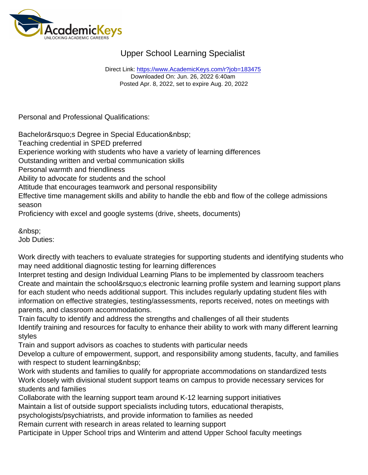## Upper School Learning Specialist

Direct Link: <https://www.AcademicKeys.com/r?job=183475> Downloaded On: Jun. 26, 2022 6:40am Posted Apr. 8, 2022, set to expire Aug. 20, 2022

Personal and Professional Qualifications:

Bachelor' Degree in Special Education

Teaching credential in SPED preferred

Experience working with students who have a variety of learning differences

Outstanding written and verbal communication skills

Personal warmth and friendliness

Ability to advocate for students and the school

Attitude that encourages teamwork and personal responsibility

Effective time management skills and ability to handle the ebb and flow of the college admissions season

Proficiency with excel and google systems (drive, sheets, documents)

 Job Duties:

Work directly with teachers to evaluate strategies for supporting students and identifying students who may need additional diagnostic testing for learning differences

Interpret testing and design Individual Learning Plans to be implemented by classroom teachers Create and maintain the school's electronic learning profile system and learning support plans for each student who needs additional support. This includes regularly updating student files with information on effective strategies, testing/assessments, reports received, notes on meetings with parents, and classroom accommodations.

Train faculty to identify and address the strengths and challenges of all their students Identify training and resources for faculty to enhance their ability to work with many different learning styles

Train and support advisors as coaches to students with particular needs

Develop a culture of empowerment, support, and responsibility among students, faculty, and families with respect to student learning

Work with students and families to qualify for appropriate accommodations on standardized tests Work closely with divisional student support teams on campus to provide necessary services for students and families

Collaborate with the learning support team around K-12 learning support initiatives

Maintain a list of outside support specialists including tutors, educational therapists,

psychologists/psychiatrists, and provide information to families as needed

Remain current with research in areas related to learning support

Participate in Upper School trips and Winterim and attend Upper School faculty meetings